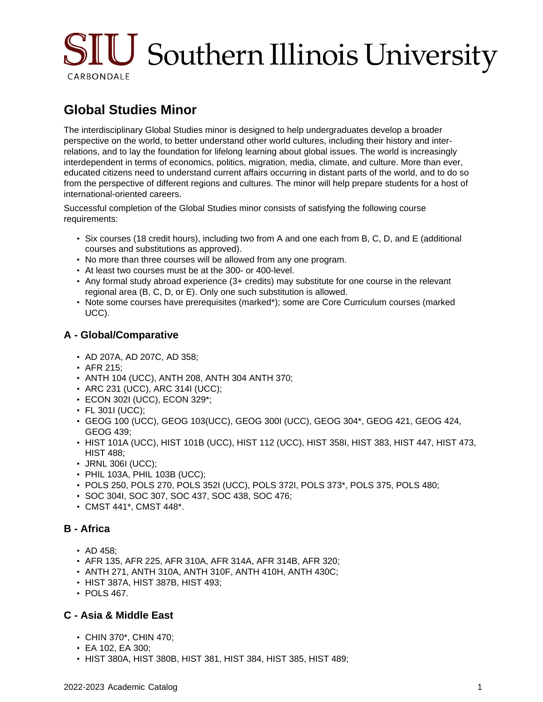# $\text{SIU}$  Southern Illinois University CARBONDALE

## **Global Studies Minor**

The interdisciplinary Global Studies minor is designed to help undergraduates develop a broader perspective on the world, to better understand other world cultures, including their history and interrelations, and to lay the foundation for lifelong learning about global issues. The world is increasingly interdependent in terms of economics, politics, migration, media, climate, and culture. More than ever, educated citizens need to understand current affairs occurring in distant parts of the world, and to do so from the perspective of different regions and cultures. The minor will help prepare students for a host of international-oriented careers.

Successful completion of the Global Studies minor consists of satisfying the following course requirements:

- Six courses (18 credit hours), including two from A and one each from B, C, D, and E (additional courses and substitutions as approved).
- No more than three courses will be allowed from any one program.
- At least two courses must be at the 300- or 400-level.
- Any formal study abroad experience (3+ credits) may substitute for one course in the relevant regional area (B, C, D, or E). Only one such substitution is allowed.
- Note some courses have prerequisites (marked\*); some are Core Curriculum courses (marked UCC).

#### **A - Global/Comparative**

- AD 207A, AD 207C, AD 358;
- AFR 215;
- ANTH 104 (UCC), ANTH 208, ANTH 304 ANTH 370;
- ARC 231 (UCC), ARC 314I (UCC);
- ECON 302I (UCC), ECON 329\*;
- FL 3011 (UCC);
- GEOG 100 (UCC), GEOG 103(UCC), GEOG 300I (UCC), GEOG 304\*, GEOG 421, GEOG 424, GEOG 439;
- HIST 101A (UCC), HIST 101B (UCC), HIST 112 (UCC), HIST 358I, HIST 383, HIST 447, HIST 473, HIST 488;
- JRNL 306I (UCC);
- PHIL 103A, PHIL 103B (UCC);
- POLS 250, POLS 270, POLS 352I (UCC), POLS 372I, POLS 373\*, POLS 375, POLS 480;
- SOC 304I, SOC 307, SOC 437, SOC 438, SOC 476;
- CMST 441\*, CMST 448\*.

#### **B - Africa**

- AD 458;
- AFR 135, AFR 225, AFR 310A, AFR 314A, AFR 314B, AFR 320;
- ANTH 271, ANTH 310A, ANTH 310F, ANTH 410H, ANTH 430C;
- HIST 387A, HIST 387B, HIST 493;
- POLS 467.

#### **C - Asia & Middle East**

- CHIN 370\*, CHIN 470;
- EA 102, EA 300;
- HIST 380A, HIST 380B, HIST 381, HIST 384, HIST 385, HIST 489;